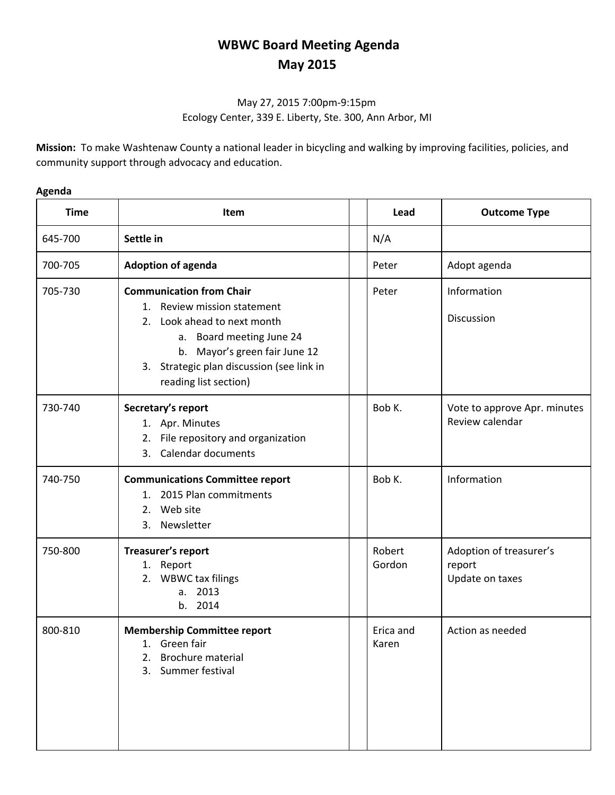## **WBWC Board Meeting Agenda May 2015**

## May 27, 2015 7:00pm-9:15pm Ecology Center, 339 E. Liberty, Ste. 300, Ann Arbor, MI

**Mission:** To make Washtenaw County a national leader in bicycling and walking by improving facilities, policies, and community support through advocacy and education.

## **Agenda**

| <b>Time</b> | <b>Item</b>                                                                                                                                                                                                                      | Lead               | <b>Outcome Type</b>                                  |
|-------------|----------------------------------------------------------------------------------------------------------------------------------------------------------------------------------------------------------------------------------|--------------------|------------------------------------------------------|
| 645-700     | Settle in                                                                                                                                                                                                                        | N/A                |                                                      |
| 700-705     | <b>Adoption of agenda</b>                                                                                                                                                                                                        | Peter              | Adopt agenda                                         |
| 705-730     | <b>Communication from Chair</b><br>1. Review mission statement<br>2. Look ahead to next month<br>a. Board meeting June 24<br>b. Mayor's green fair June 12<br>3. Strategic plan discussion (see link in<br>reading list section) | Peter              | Information<br>Discussion                            |
| 730-740     | Secretary's report<br>1. Apr. Minutes<br>2. File repository and organization<br>Calendar documents<br>3.                                                                                                                         | Bob K.             | Vote to approve Apr. minutes<br>Review calendar      |
| 740-750     | <b>Communications Committee report</b><br>2015 Plan commitments<br>$1_{-}$<br>2. Web site<br>3. Newsletter                                                                                                                       | Bob K.             | Information                                          |
| 750-800     | Treasurer's report<br>1. Report<br>2. WBWC tax filings<br>a. 2013<br>b. 2014                                                                                                                                                     | Robert<br>Gordon   | Adoption of treasurer's<br>report<br>Update on taxes |
| 800-810     | <b>Membership Committee report</b><br>1. Green fair<br><b>Brochure material</b><br>2.<br>Summer festival<br>3.                                                                                                                   | Erica and<br>Karen | Action as needed                                     |